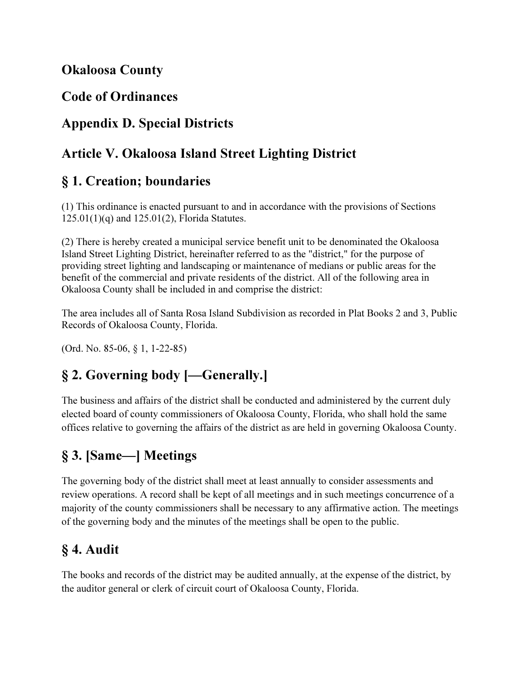### Okaloosa County

#### Code of Ordinances

### Appendix D. Special Districts

### Article V. Okaloosa Island Street Lighting District

### § 1. Creation; boundaries

(1) This ordinance is enacted pursuant to and in accordance with the provisions of Sections 125.01(1)(q) and 125.01(2), Florida Statutes.

(2) There is hereby created a municipal service benefit unit to be denominated the Okaloosa Island Street Lighting District, hereinafter referred to as the "district," for the purpose of providing street lighting and landscaping or maintenance of medians or public areas for the benefit of the commercial and private residents of the district. All of the following area in Okaloosa County shall be included in and comprise the district:

The area includes all of Santa Rosa Island Subdivision as recorded in Plat Books 2 and 3, Public Records of Okaloosa County, Florida.

(Ord. No. 85-06, § 1, 1-22-85)

## § 2. Governing body [—Generally.]

The business and affairs of the district shall be conducted and administered by the current duly elected board of county commissioners of Okaloosa County, Florida, who shall hold the same offices relative to governing the affairs of the district as are held in governing Okaloosa County.

# § 3. [Same—] Meetings

The governing body of the district shall meet at least annually to consider assessments and review operations. A record shall be kept of all meetings and in such meetings concurrence of a majority of the county commissioners shall be necessary to any affirmative action. The meetings of the governing body and the minutes of the meetings shall be open to the public.

# § 4. Audit

The books and records of the district may be audited annually, at the expense of the district, by the auditor general or clerk of circuit court of Okaloosa County, Florida.